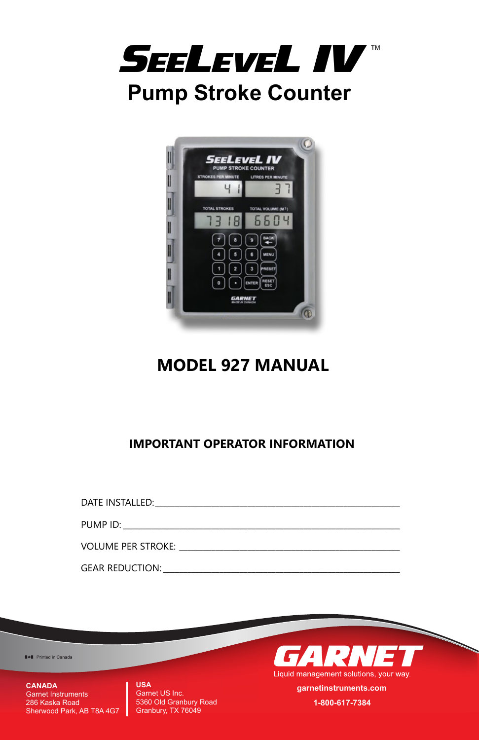



**MODEL 927 MANUAL**

## **IMPORTANT OPERATOR INFORMATION**

| DATE INSTALLED: The contract of the contract of the contract of the contract of the contract of the contract of the contract of the contract of the contract of the contract of the contract of the contract of the contract o |                                                                                 |
|--------------------------------------------------------------------------------------------------------------------------------------------------------------------------------------------------------------------------------|---------------------------------------------------------------------------------|
| PUMP ID: New York PUMP ID:                                                                                                                                                                                                     |                                                                                 |
|                                                                                                                                                                                                                                |                                                                                 |
| VOLUME PER STROKE:                                                                                                                                                                                                             | the contract of the contract of the contract of the contract of the contract of |
| <b>GEAR REDUCTION:</b>                                                                                                                                                                                                         |                                                                                 |

**I-I** Printed in Canada

**CANADA** Garnet Instruments 286 Kaska Road Sherwood Park, AB T8A 4G7 **USA** Garnet US Inc. 5360 Old Granbury Road Granbury, TX 76049



**garnetinstruments.com 1-800-617-7384**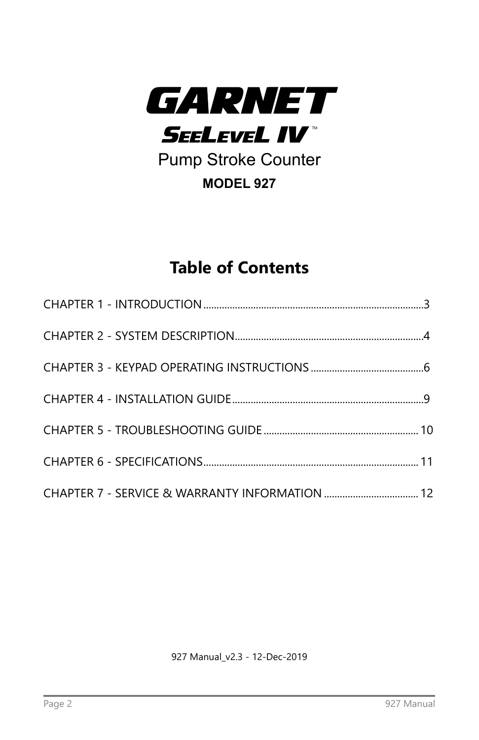

Pump Stroke Counter **MODEL 927**

# **Table of Contents**

927 Manual\_v2.3 - 12-Dec-2019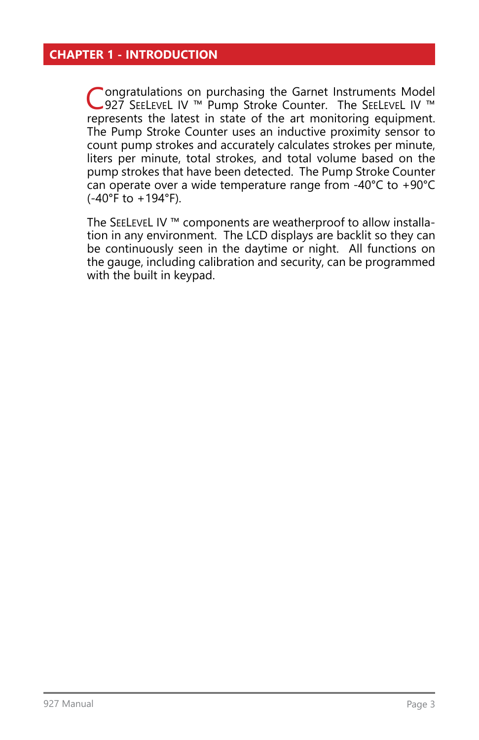### <span id="page-2-0"></span>**CHAPTER 1 - INTRODUCTION**

Congratulations on purchasing the Garnet Instruments Model<br>
927 SEELEVEL IV ™ Pump Stroke Counter. The SEELEVEL IV ™ represents the latest in state of the art monitoring equipment. The Pump Stroke Counter uses an inductive proximity sensor to count pump strokes and accurately calculates strokes per minute, liters per minute, total strokes, and total volume based on the pump strokes that have been detected. The Pump Stroke Counter can operate over a wide temperature range from -40°C to +90°C  $(-40^{\circ}$ F to  $+194^{\circ}$ F).

The SEELEVEL IV ™ components are weatherproof to allow installation in any environment. The LCD displays are backlit so they can be continuously seen in the daytime or night. All functions on the gauge, including calibration and security, can be programmed with the built in keypad.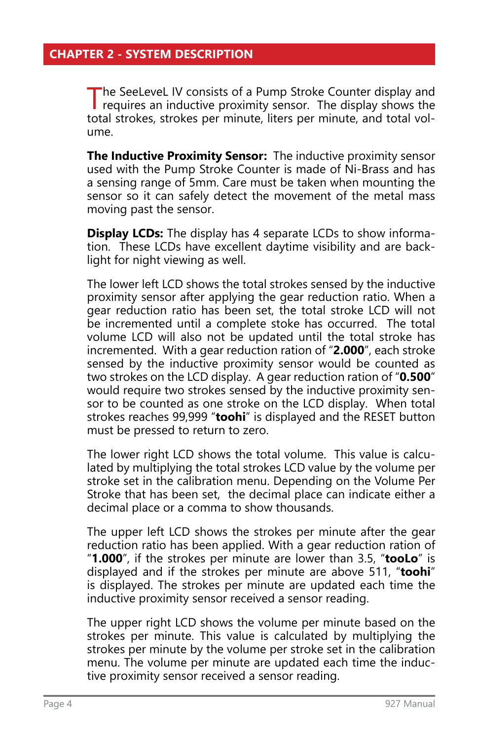<span id="page-3-0"></span>The SeeLeveL IV consists of a Pump Stroke Counter display and requires an inductive proximity sensor. The display shows the total strokes, strokes per minute, liters per minute, and total volume.

**The Inductive Proximity Sensor:** The inductive proximity sensor used with the Pump Stroke Counter is made of Ni-Brass and has a sensing range of 5mm. Care must be taken when mounting the sensor so it can safely detect the movement of the metal mass moving past the sensor.

**Display LCDs:** The display has 4 separate LCDs to show information. These LCDs have excellent daytime visibility and are backlight for night viewing as well.

The lower left LCD shows the total strokes sensed by the inductive proximity sensor after applying the gear reduction ratio. When a gear reduction ratio has been set, the total stroke LCD will not be incremented until a complete stoke has occurred. The total volume LCD will also not be updated until the total stroke has incremented. With a gear reduction ration of "**2.000**", each stroke sensed by the inductive proximity sensor would be counted as two strokes on the LCD display. A gear reduction ration of "**0.500**" would require two strokes sensed by the inductive proximity sensor to be counted as one stroke on the LCD display. When total strokes reaches 99,999 "**toohi**" is displayed and the RESET button must be pressed to return to zero.

The lower right LCD shows the total volume. This value is calculated by multiplying the total strokes LCD value by the volume per stroke set in the calibration menu. Depending on the Volume Per Stroke that has been set, the decimal place can indicate either a decimal place or a comma to show thousands.

The upper left LCD shows the strokes per minute after the gear reduction ratio has been applied. With a gear reduction ration of "**1.000**", if the strokes per minute are lower than 3.5, "**tooLo**" is displayed and if the strokes per minute are above 511, "**toohi**" is displayed. The strokes per minute are updated each time the inductive proximity sensor received a sensor reading.

The upper right LCD shows the volume per minute based on the strokes per minute. This value is calculated by multiplying the strokes per minute by the volume per stroke set in the calibration menu. The volume per minute are updated each time the inductive proximity sensor received a sensor reading.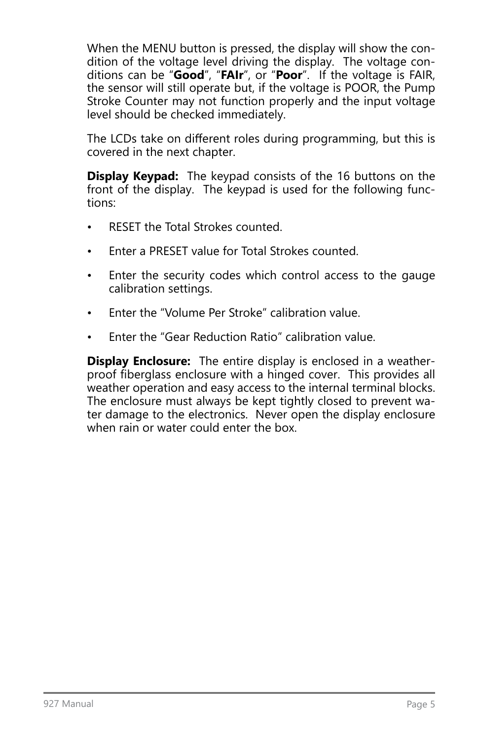When the MENU button is pressed, the display will show the condition of the voltage level driving the display. The voltage conditions can be "**Good**", "**FAIr**", or "**Poor**". If the voltage is FAIR, the sensor will still operate but, if the voltage is POOR, the Pump Stroke Counter may not function properly and the input voltage level should be checked immediately.

The LCDs take on different roles during programming, but this is covered in the next chapter.

**Display Keypad:** The keypad consists of the 16 buttons on the front of the display. The keypad is used for the following functions:

- RESET the Total Strokes counted.
- Enter a PRESET value for Total Strokes counted.
- Enter the security codes which control access to the gauge calibration settings.
- Enter the "Volume Per Stroke" calibration value.
- Enter the "Gear Reduction Ratio" calibration value.

**Display Enclosure:** The entire display is enclosed in a weatherproof fiberglass enclosure with a hinged cover. This provides all weather operation and easy access to the internal terminal blocks. The enclosure must always be kept tightly closed to prevent water damage to the electronics. Never open the display enclosure when rain or water could enter the box.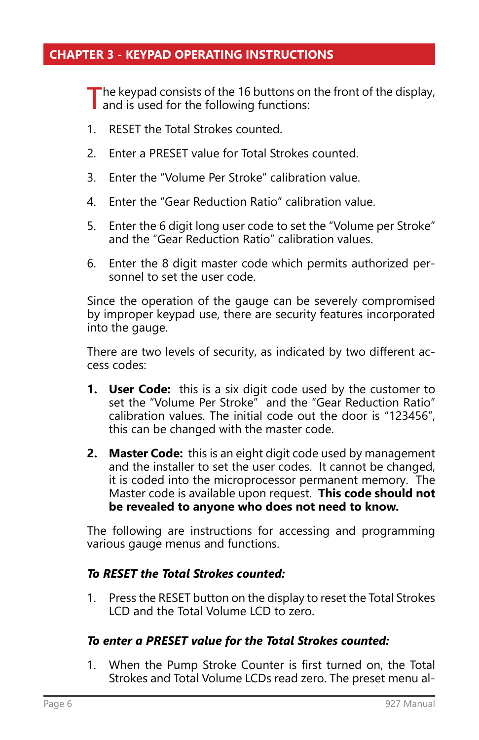### <span id="page-5-0"></span>**CHAPTER 3 - KEYPAD OPERATING INSTRUCTIONS**

The keypad consists of the 16 buttons on the front of the display, and is used for the following functions:

- 1. RESET the Total Strokes counted.
- 2. Enter a PRESET value for Total Strokes counted.
- 3. Enter the "Volume Per Stroke" calibration value.
- 4. Enter the "Gear Reduction Ratio" calibration value.
- 5. Enter the 6 digit long user code to set the "Volume per Stroke" and the "Gear Reduction Ratio" calibration values.
- 6. Enter the 8 digit master code which permits authorized personnel to set the user code.

Since the operation of the gauge can be severely compromised by improper keypad use, there are security features incorporated into the gauge.

There are two levels of security, as indicated by two different access codes:

- **1. User Code:** this is a six digit code used by the customer to set the "Volume Per Stroke" and the "Gear Reduction Ratio" calibration values. The initial code out the door is "123456", this can be changed with the master code.
- **2. Master Code:** this is an eight digit code used by management and the installer to set the user codes. It cannot be changed, it is coded into the microprocessor permanent memory. The Master code is available upon request. **This code should not be revealed to anyone who does not need to know.**

The following are instructions for accessing and programming various gauge menus and functions.

#### *To RESET the Total Strokes counted:*

1. Press the RESET button on the display to reset the Total Strokes LCD and the Total Volume LCD to zero.

#### *To enter a PRESET value for the Total Strokes counted:*

1. When the Pump Stroke Counter is first turned on, the Total Strokes and Total Volume LCDs read zero. The preset menu al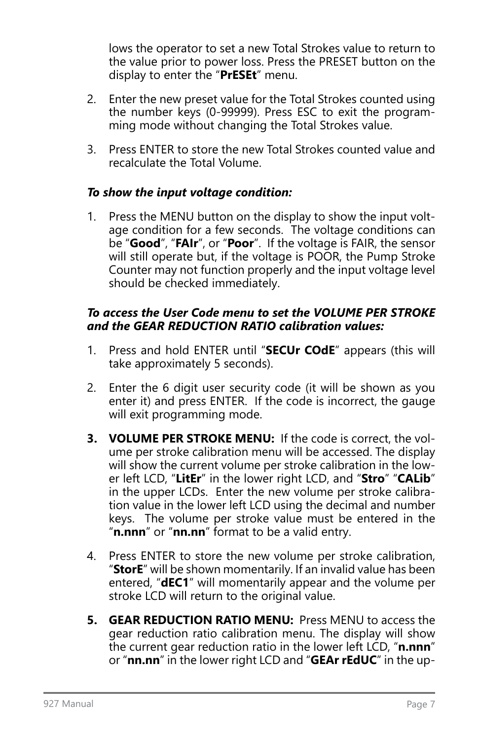lows the operator to set a new Total Strokes value to return to the value prior to power loss. Press the PRESET button on the display to enter the "**PrESEt**" menu.

- 2. Enter the new preset value for the Total Strokes counted using the number keys (0-99999). Press ESC to exit the programming mode without changing the Total Strokes value.
- 3. Press ENTER to store the new Total Strokes counted value and recalculate the Total Volume.

### *To show the input voltage condition:*

1. Press the MENU button on the display to show the input voltage condition for a few seconds. The voltage conditions can be "**Good**", "**FAIr**", or "**Poor**". If the voltage is FAIR, the sensor will still operate but, if the voltage is POOR, the Pump Stroke Counter may not function properly and the input voltage level should be checked immediately.

#### *To access the User Code menu to set the VOLUME PER STROKE and the GEAR REDUCTION RATIO calibration values:*

- 1. Press and hold ENTER until "**SECUr COdE**" appears (this will take approximately 5 seconds).
- 2. Enter the 6 digit user security code (it will be shown as you enter it) and press ENTER. If the code is incorrect, the gauge will exit programming mode.
- **3. VOLUME PER STROKE MENU:** If the code is correct, the volume per stroke calibration menu will be accessed. The display will show the current volume per stroke calibration in the lower left LCD, "**LitEr**" in the lower right LCD, and "**Stro**" "**CALib**" in the upper LCDs. Enter the new volume per stroke calibration value in the lower left LCD using the decimal and number keys. The volume per stroke value must be entered in the "**n.nnn**" or "**nn.nn**" format to be a valid entry.
- 4. Press ENTER to store the new volume per stroke calibration, "**StorE**" will be shown momentarily. If an invalid value has been entered, "**dEC1**" will momentarily appear and the volume per stroke LCD will return to the original value.
- **5. GEAR REDUCTION RATIO MENU:** Press MENU to access the gear reduction ratio calibration menu. The display will show the current gear reduction ratio in the lower left LCD, "**n.nnn**" or "**nn.nn**" in the lower right LCD and "**GEAr rEdUC**" in the up-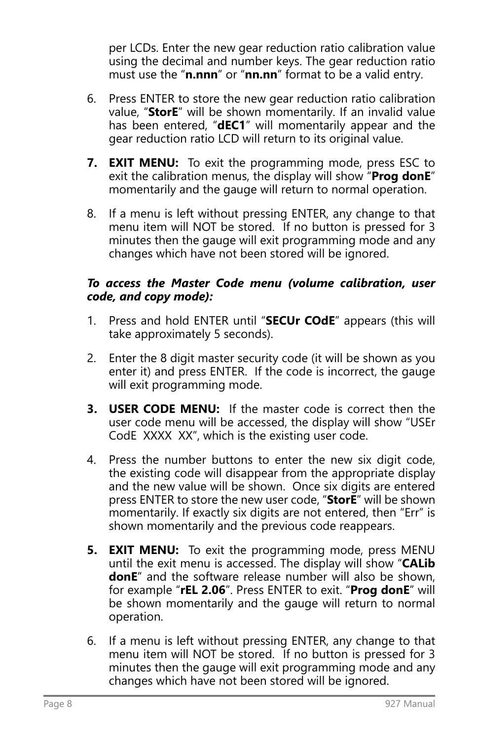per LCDs. Enter the new gear reduction ratio calibration value using the decimal and number keys. The gear reduction ratio must use the "**n.nnn**" or "**nn.nn**" format to be a valid entry.

- 6. Press ENTER to store the new gear reduction ratio calibration value, "**StorE**" will be shown momentarily. If an invalid value has been entered, "**dEC1**" will momentarily appear and the gear reduction ratio LCD will return to its original value.
- **7. EXIT MENU:** To exit the programming mode, press ESC to exit the calibration menus, the display will show "**Prog donE**" momentarily and the gauge will return to normal operation.
- 8. If a menu is left without pressing ENTER, any change to that menu item will NOT be stored. If no button is pressed for 3 minutes then the gauge will exit programming mode and any changes which have not been stored will be ignored.

#### *To access the Master Code menu (volume calibration, user code, and copy mode):*

- 1. Press and hold ENTER until "**SECUr COdE**" appears (this will take approximately 5 seconds).
- 2. Enter the 8 digit master security code (it will be shown as you enter it) and press ENTER. If the code is incorrect, the gauge will exit programming mode.
- **3. USER CODE MENU:** If the master code is correct then the user code menu will be accessed, the display will show "USEr CodE XXXX XX", which is the existing user code.
- 4. Press the number buttons to enter the new six digit code, the existing code will disappear from the appropriate display and the new value will be shown. Once six digits are entered press ENTER to store the new user code, "**StorE**" will be shown momentarily. If exactly six digits are not entered, then "Err" is shown momentarily and the previous code reappears.
- **5. EXIT MENU:** To exit the programming mode, press MENU until the exit menu is accessed. The display will show "**CALib donE**" and the software release number will also be shown, for example "**rEL 2.06**". Press ENTER to exit. "**Prog donE**" will be shown momentarily and the gauge will return to normal operation.
- 6. If a menu is left without pressing ENTER, any change to that menu item will NOT be stored. If no button is pressed for 3 minutes then the gauge will exit programming mode and any changes which have not been stored will be ignored.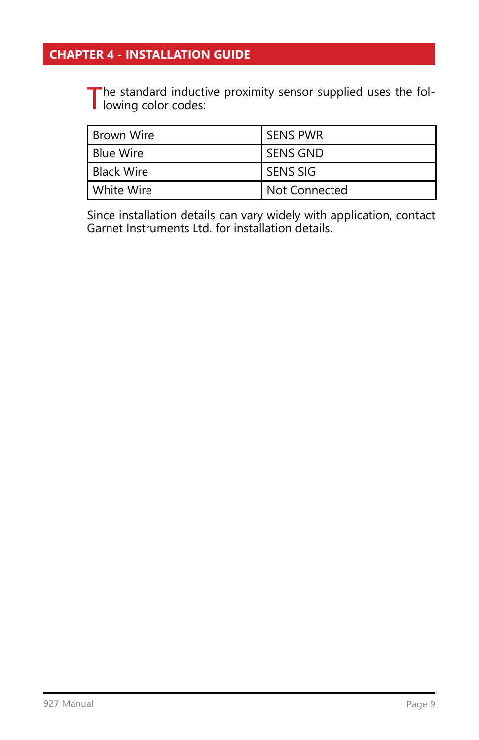## <span id="page-8-0"></span>**CHAPTER 4 - INSTALLATION GUIDE**

The standard inductive proximity sensor supplied uses the fol-<br>lowing color codes:

| l Brown Wire | l sens pwr      |
|--------------|-----------------|
| Blue Wire    | <b>SENS GND</b> |
| Black Wire   | l SENS SIG      |
| White Wire   | l Not Connected |

Since installation details can vary widely with application, contact Garnet Instruments Ltd. for installation details.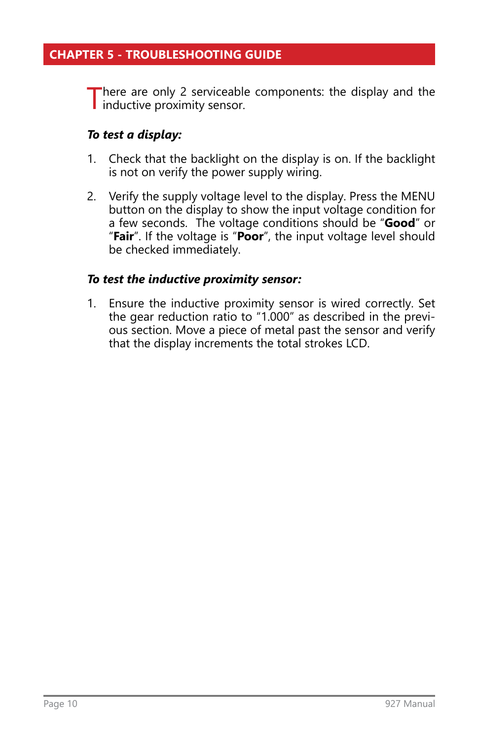<span id="page-9-0"></span>There are only 2 serviceable components: the display and the inductive proximity sensor.

### *To test a display:*

- 1. Check that the backlight on the display is on. If the backlight is not on verify the power supply wiring.
- 2. Verify the supply voltage level to the display. Press the MENU button on the display to show the input voltage condition for a few seconds. The voltage conditions should be "**Good**" or "**Fair**". If the voltage is "**Poor**", the input voltage level should be checked immediately.

### *To test the inductive proximity sensor:*

1. Ensure the inductive proximity sensor is wired correctly. Set the gear reduction ratio to "1.000" as described in the previous section. Move a piece of metal past the sensor and verify that the display increments the total strokes LCD.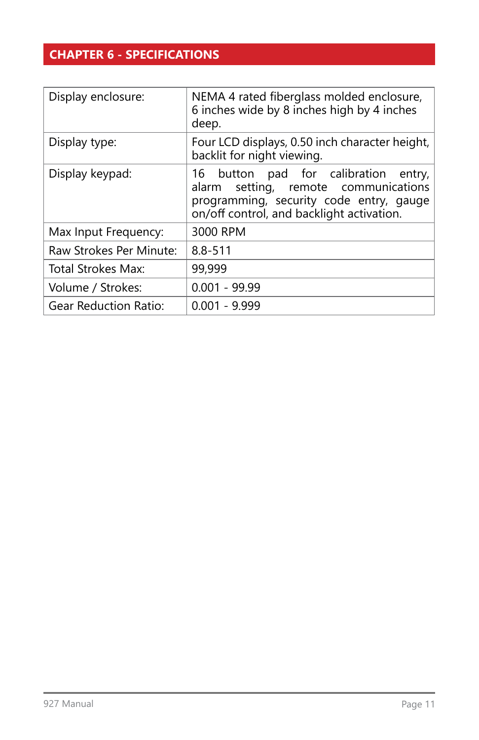## <span id="page-10-0"></span>**CHAPTER 6 - SPECIFICATIONS**

| Display enclosure:           | NEMA 4 rated fiberglass molded enclosure,<br>6 inches wide by 8 inches high by 4 inches<br>deep.                                                                     |
|------------------------------|----------------------------------------------------------------------------------------------------------------------------------------------------------------------|
| Display type:                | Four LCD displays, 0.50 inch character height,<br>backlit for night viewing.                                                                                         |
| Display keypad:              | 16 button pad for calibration entry,<br>alarm setting, remote communications<br>programming, security code entry, gauge<br>on/off control, and backlight activation. |
| Max Input Frequency:         | 3000 RPM                                                                                                                                                             |
| Raw Strokes Per Minute:      | $8.8 - 511$                                                                                                                                                          |
| Total Strokes Max:           | 99,999                                                                                                                                                               |
| Volume / Strokes:            | $0.001 - 99.99$                                                                                                                                                      |
| <b>Gear Reduction Ratio:</b> | $0.001 - 9.999$                                                                                                                                                      |